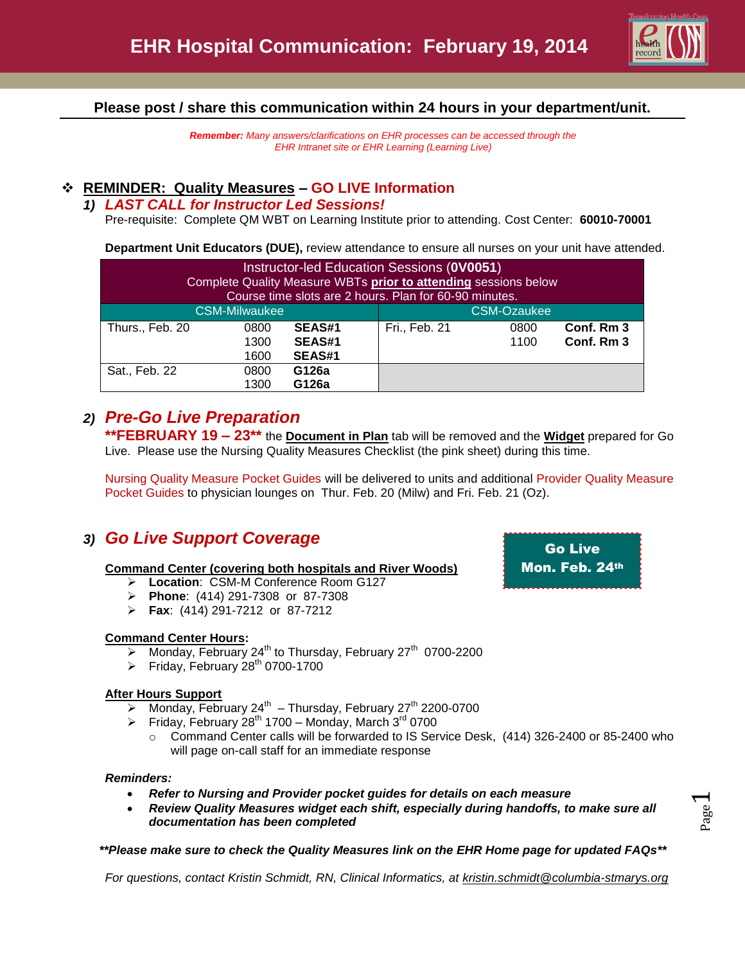

**Please post / share this communication within 24 hours in your department/unit.**

*Remember: Many answers/clarifications on EHR processes can be accessed through the EHR Intranet site or EHR Learning (Learning Live)*

## **REMINDER: Quality Measures – GO LIVE Information**

#### *1) LAST CALL for Instructor Led Sessions!*

Pre-requisite: Complete QM WBT on Learning Institute prior to attending. Cost Center: **60010-70001**

**Department Unit Educators (DUE),** review attendance to ensure all nurses on your unit have attended.

| Instructor-led Education Sessions (0V0051)<br>Complete Quality Measure WBTs prior to attending sessions below<br>Course time slots are 2 hours. Plan for 60-90 minutes. |      |               |                    |      |            |  |
|-------------------------------------------------------------------------------------------------------------------------------------------------------------------------|------|---------------|--------------------|------|------------|--|
| <b>CSM-Milwaukee</b>                                                                                                                                                    |      |               | <b>CSM-Ozaukee</b> |      |            |  |
| Thurs., Feb. 20                                                                                                                                                         | 0800 | <b>SEAS#1</b> | Fri., Feb. 21      | 0800 | Conf. Rm 3 |  |
|                                                                                                                                                                         | 1300 | <b>SEAS#1</b> |                    | 1100 | Conf. Rm 3 |  |
|                                                                                                                                                                         | 1600 | SEAS#1        |                    |      |            |  |
| Sat., Feb. 22                                                                                                                                                           | 0800 | G126a         |                    |      |            |  |
|                                                                                                                                                                         | 1300 | G126a         |                    |      |            |  |

# *2) Pre-Go Live Preparation*

**\*\*FEBRUARY 19 – 23\*\*** the **Document in Plan** tab will be removed and the **Widget** prepared for Go Live. Please use the Nursing Quality Measures Checklist (the pink sheet) during this time.

Nursing Quality Measure Pocket Guides will be delivered to units and additional Provider Quality Measure Pocket Guides to physician lounges on Thur. Feb. 20 (Milw) and Fri. Feb. 21 (Oz).

# *3) Go Live Support Coverage*

#### **Command Center (covering both hospitals and River Woods)**

- **Location**: CSM-M Conference Room G127
- **Phone**: (414) 291-7308 or 87-7308
- **Fax**: (414) 291-7212 or 87-7212

#### **Command Center Hours:**

- Monday, February 24<sup>th</sup> to Thursday, February 27<sup>th</sup> 0700-2200
- Friday, February  $28<sup>th</sup>$  0700-1700

#### **After Hours Support**

- $\triangleright$  Monday, February 24<sup>th</sup> Thursday, February 27<sup>th</sup> 2200-0700
- Friday, February 28<sup>th</sup> 1700 Monday, March 3<sup>rd</sup> 0700
	- o Command Center calls will be forwarded to IS Service Desk, (414) 326-2400 or 85-2400 who will page on-call staff for an immediate response

#### *Reminders:*

- *Refer to Nursing and Provider pocket guides for details on each measure*
- *Review Quality Measures widget each shift, especially during handoffs, to make sure all documentation has been completed*

*\*\*Please make sure to check the Quality Measures link on the EHR Home page for updated FAQs\*\**

*For questions, contact Kristin Schmidt, RN, Clinical Informatics, at [kristin.schmidt@columbia-stmarys.org](mailto:kristin.schmidt@columbia-stmarys.org)*

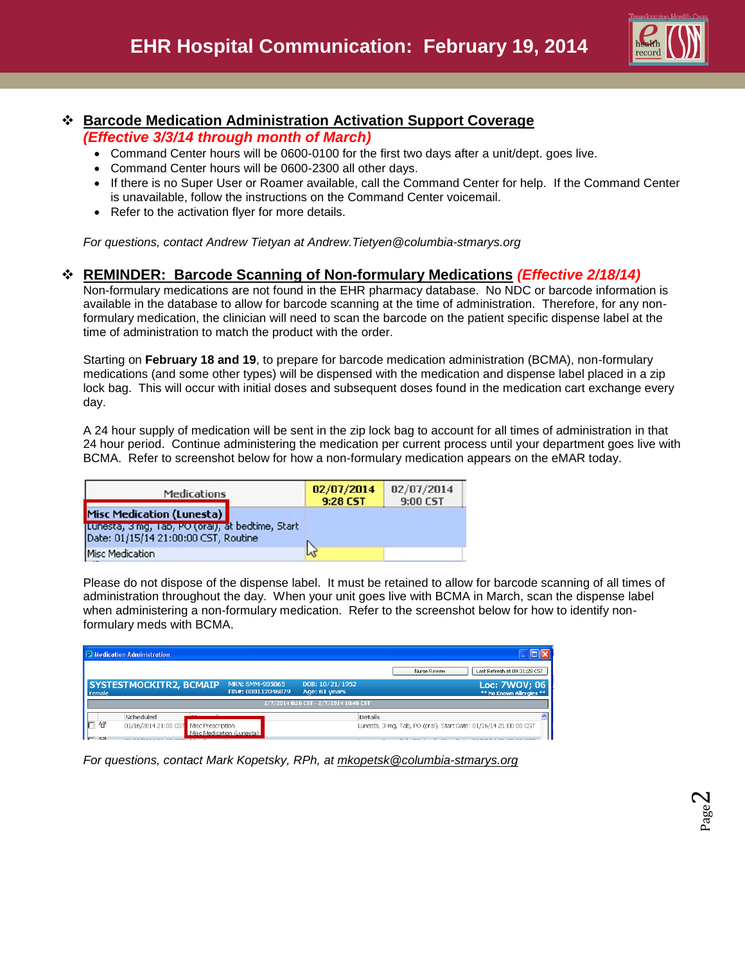

Page  $\boldsymbol{\sim}$ 

# **Barcode Medication Administration Activation Support Coverage**

*(Effective 3/3/14 through month of March)*

- Command Center hours will be 0600-0100 for the first two days after a unit/dept. goes live.
- Command Center hours will be 0600-2300 all other days.
- If there is no Super User or Roamer available, call the Command Center for help. If the Command Center is unavailable, follow the instructions on the Command Center voicemail.
- Refer to the activation flyer for more details.

*For questions, contact Andrew Tietyan at Andrew.Tietyen@columbia-stmarys.org*

### **REMINDER: Barcode Scanning of Non-formulary Medications** *(Effective 2/18/14)*

Non-formulary medications are not found in the EHR pharmacy database. No NDC or barcode information is available in the database to allow for barcode scanning at the time of administration. Therefore, for any nonformulary medication, the clinician will need to scan the barcode on the patient specific dispense label at the time of administration to match the product with the order.

Starting on **February 18 and 19**, to prepare for barcode medication administration (BCMA), non-formulary medications (and some other types) will be dispensed with the medication and dispense label placed in a zip lock bag. This will occur with initial doses and subsequent doses found in the medication cart exchange every day.

A 24 hour supply of medication will be sent in the zip lock bag to account for all times of administration in that 24 hour period. Continue administering the medication per current process until your department goes live with BCMA. Refer to screenshot below for how a non-formulary medication appears on the eMAR today.

| <b>Medications</b>                                                                        | 02/07/2014<br>9:28 CST | 02/07/2014<br>9:00 CST |  |
|-------------------------------------------------------------------------------------------|------------------------|------------------------|--|
| Misc Medication (Lunesta)                                                                 |                        |                        |  |
| Lunesta, 3 mg, 1 ab, PO (oral), at bedtime, Start<br>Date: 01/15/14 21:00:00 CST, Routine |                        |                        |  |
| <b>Misc Medication</b>                                                                    | hť                     |                        |  |

Please do not dispose of the dispense label. It must be retained to allow for barcode scanning of all times of administration throughout the day. When your unit goes live with BCMA in March, scan the dispense label when administering a non-formulary medication. Refer to the screenshot below for how to identify nonformulary meds with BCMA.

|        | Medication Administration                                            |                                       |                                        |                                                                  |                                           |
|--------|----------------------------------------------------------------------|---------------------------------------|----------------------------------------|------------------------------------------------------------------|-------------------------------------------|
|        |                                                                      |                                       |                                        | Last Refresh at 09:31:28 CST<br>Nurse Review                     |                                           |
| Female | <b>SYSTESTMOCKITR2, BCMAIP</b>                                       | MRN: SMM-905065<br>FIN#: 000112046879 | DOB: 10/21/1952<br>Age: 61 years       |                                                                  | Loc: 7WOV; 06<br>** No Known Allergies ** |
|        |                                                                      |                                       | 2/7/2014 8:16 CST - 2/7/2014 10:46 CST |                                                                  |                                           |
| ಿರ     | Scheduled<br>$\sim$ $\sim$<br>01/16/2014 21:00 CST Misc Prescription | Misc Medication (Lunesta)             | <b>Details</b>                         | Lunesta, 3 mg, Tab, PO (oral), Start Date: 01/16/14 21:00:00 CST |                                           |

*For questions, contact Mark Kopetsky, RPh, at [mkopetsk@columbia-stmarys.org](mailto:mkopetsk@columbia-stmarys.org)*